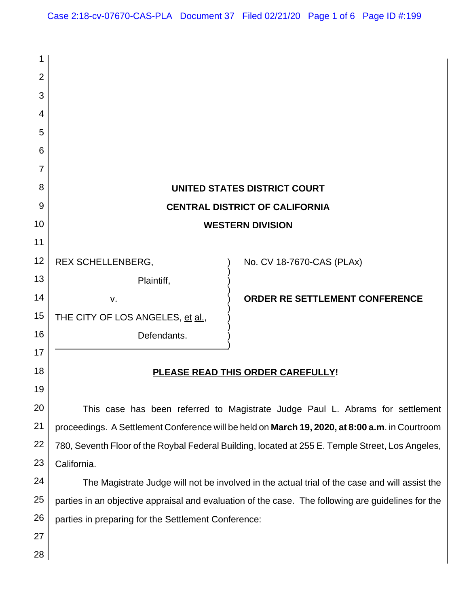| 1              |                                                                                                    |                                |  |
|----------------|----------------------------------------------------------------------------------------------------|--------------------------------|--|
| $\overline{2}$ |                                                                                                    |                                |  |
| 3              |                                                                                                    |                                |  |
| 4              |                                                                                                    |                                |  |
| 5              |                                                                                                    |                                |  |
| 6              |                                                                                                    |                                |  |
| 7              |                                                                                                    |                                |  |
| 8              | UNITED STATES DISTRICT COURT                                                                       |                                |  |
| 9              | <b>CENTRAL DISTRICT OF CALIFORNIA</b>                                                              |                                |  |
| 10             | <b>WESTERN DIVISION</b>                                                                            |                                |  |
| 11             |                                                                                                    |                                |  |
| 12             | REX SCHELLENBERG,                                                                                  | No. CV 18-7670-CAS (PLAx)      |  |
| 13             | Plaintiff,                                                                                         |                                |  |
| 14             | v.                                                                                                 | ORDER RE SETTLEMENT CONFERENCE |  |
| 15             | THE CITY OF LOS ANGELES, et al.,                                                                   |                                |  |
| 16             | Defendants.                                                                                        |                                |  |
| 17             |                                                                                                    |                                |  |
| 18             | PLEASE READ THIS ORDER CAREFULLY!                                                                  |                                |  |
| 19             |                                                                                                    |                                |  |
| 20             | This case has been referred to Magistrate Judge Paul L. Abrams for settlement                      |                                |  |
| 21             | proceedings. A Settlement Conference will be held on March 19, 2020, at 8:00 a.m. in Courtroom     |                                |  |
| 22             | 780, Seventh Floor of the Roybal Federal Building, located at 255 E. Temple Street, Los Angeles,   |                                |  |
| 23             | California.                                                                                        |                                |  |
| 24             | The Magistrate Judge will not be involved in the actual trial of the case and will assist the      |                                |  |
| 25             | parties in an objective appraisal and evaluation of the case. The following are guidelines for the |                                |  |
| 26             | parties in preparing for the Settlement Conference:                                                |                                |  |
| 27             |                                                                                                    |                                |  |
| 28             |                                                                                                    |                                |  |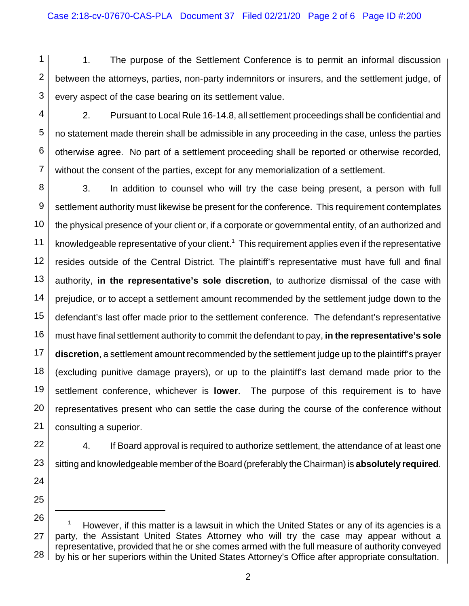1 2 3 1. The purpose of the Settlement Conference is to permit an informal discussion between the attorneys, parties, non-party indemnitors or insurers, and the settlement judge, of every aspect of the case bearing on its settlement value.

4 5 6 7 2. Pursuant to Local Rule 16-14.8, all settlement proceedings shall be confidential and no statement made therein shall be admissible in any proceeding in the case, unless the parties otherwise agree. No part of a settlement proceeding shall be reported or otherwise recorded, without the consent of the parties, except for any memorialization of a settlement.

8 9 10 11 12 13 14 15 16 17 18 19 20 21 3. In addition to counsel who will try the case being present, a person with full settlement authority must likewise be present for the conference. This requirement contemplates the physical presence of your client or, if a corporate or governmental entity, of an authorized and knowledgeable representative of your client.<sup>1</sup> This requirement applies even if the representative resides outside of the Central District. The plaintiff's representative must have full and final authority, **in the representative's sole discretion**, to authorize dismissal of the case with prejudice, or to accept a settlement amount recommended by the settlement judge down to the defendant's last offer made prior to the settlement conference. The defendant's representative must have final settlement authority to commit the defendant to pay, **in the representative's sole discretion**, a settlement amount recommended by the settlement judge up to the plaintiff's prayer (excluding punitive damage prayers), or up to the plaintiff's last demand made prior to the settlement conference, whichever is **lower**. The purpose of this requirement is to have representatives present who can settle the case during the course of the conference without consulting a superior.

22 23 4. If Board approval is required to authorize settlement, the attendance of at least one sitting and knowledgeable member of the Board (preferably the Chairman) is **absolutely required**.

24 25

<sup>26</sup> 27 28 <sup>1</sup> However, if this matter is a lawsuit in which the United States or any of its agencies is a party, the Assistant United States Attorney who will try the case may appear without a representative, provided that he or she comes armed with the full measure of authority conveyed by his or her superiors within the United States Attorney's Office after appropriate consultation.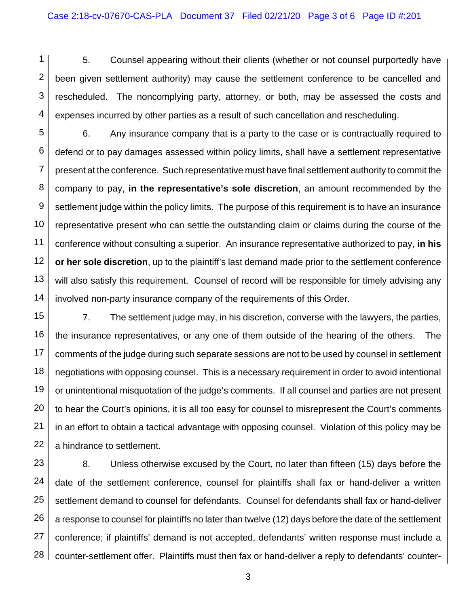1 2 3 4 5. Counsel appearing without their clients (whether or not counsel purportedly have been given settlement authority) may cause the settlement conference to be cancelled and rescheduled. The noncomplying party, attorney, or both, may be assessed the costs and expenses incurred by other parties as a result of such cancellation and rescheduling.

5 6 7 8 9 10 11 12 13 14 6. Any insurance company that is a party to the case or is contractually required to defend or to pay damages assessed within policy limits, shall have a settlement representative present at the conference. Such representative must have final settlement authority to commit the company to pay, **in the representative's sole discretion**, an amount recommended by the settlement judge within the policy limits. The purpose of this requirement is to have an insurance representative present who can settle the outstanding claim or claims during the course of the conference without consulting a superior. An insurance representative authorized to pay, **in his or her sole discretion**, up to the plaintiff's last demand made prior to the settlement conference will also satisfy this requirement. Counsel of record will be responsible for timely advising any involved non-party insurance company of the requirements of this Order.

15 16 17 18 19 20 21 22 7. The settlement judge may, in his discretion, converse with the lawyers, the parties, the insurance representatives, or any one of them outside of the hearing of the others. The comments of the judge during such separate sessions are not to be used by counsel in settlement negotiations with opposing counsel. This is a necessary requirement in order to avoid intentional or unintentional misquotation of the judge's comments. If all counsel and parties are not present to hear the Court's opinions, it is all too easy for counsel to misrepresent the Court's comments in an effort to obtain a tactical advantage with opposing counsel. Violation of this policy may be a hindrance to settlement.

23 24 25 26 27 28 8. Unless otherwise excused by the Court, no later than fifteen (15) days before the date of the settlement conference, counsel for plaintiffs shall fax or hand-deliver a written settlement demand to counsel for defendants. Counsel for defendants shall fax or hand-deliver a response to counsel for plaintiffs no later than twelve (12) days before the date of the settlement conference; if plaintiffs' demand is not accepted, defendants' written response must include a counter-settlement offer. Plaintiffs must then fax or hand-deliver a reply to defendants' counter-

3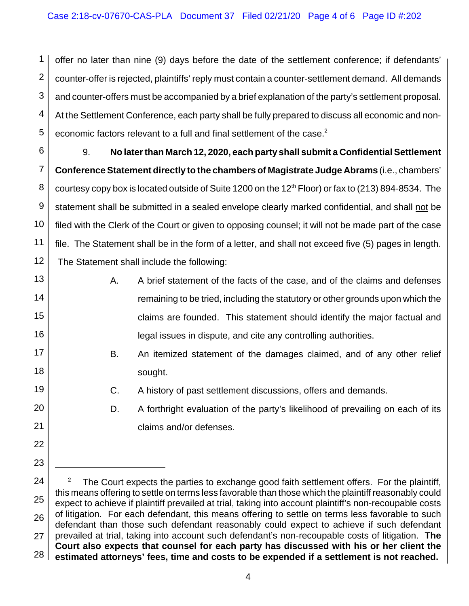1 2 3 4 5 offer no later than nine (9) days before the date of the settlement conference; if defendants' counter-offer is rejected, plaintiffs' reply must contain a counter-settlement demand. All demands and counter-offers must be accompanied by a brief explanation of the party's settlement proposal. At the Settlement Conference, each party shall be fully prepared to discuss all economic and noneconomic factors relevant to a full and final settlement of the case.<sup>2</sup>

6 7 8 9 10 11 12 9. **No later than March 12, 2020, each party shall submit a Confidential Settlement Conference Statement directly to the chambers of Magistrate Judge Abrams** (i.e., chambers' courtesy copy box is located outside of Suite 1200 on the 12<sup>th</sup> Floor) or fax to (213) 894-8534. The statement shall be submitted in a sealed envelope clearly marked confidential, and shall not be filed with the Clerk of the Court or given to opposing counsel; it will not be made part of the case file. The Statement shall be in the form of a letter, and shall not exceed five (5) pages in length. The Statement shall include the following:

13 14

15

16

17

18

19

20

21

22

23

A. A brief statement of the facts of the case, and of the claims and defenses remaining to be tried, including the statutory or other grounds upon which the claims are founded. This statement should identify the major factual and legal issues in dispute, and cite any controlling authorities.

- B. An itemized statement of the damages claimed, and of any other relief sought.
	- C. A history of past settlement discussions, offers and demands.
	- D. A forthright evaluation of the party's likelihood of prevailing on each of its claims and/or defenses.

<sup>24</sup> 25 26 27 28 <sup>2</sup> The Court expects the parties to exchange good faith settlement offers. For the plaintiff, this means offering to settle on terms less favorable than those which the plaintiff reasonably could expect to achieve if plaintiff prevailed at trial, taking into account plaintiff's non-recoupable costs of litigation. For each defendant, this means offering to settle on terms less favorable to such defendant than those such defendant reasonably could expect to achieve if such defendant prevailed at trial, taking into account such defendant's non-recoupable costs of litigation. **The Court also expects that counsel for each party has discussed with his or her client the estimated attorneys' fees, time and costs to be expended if a settlement is not reached.**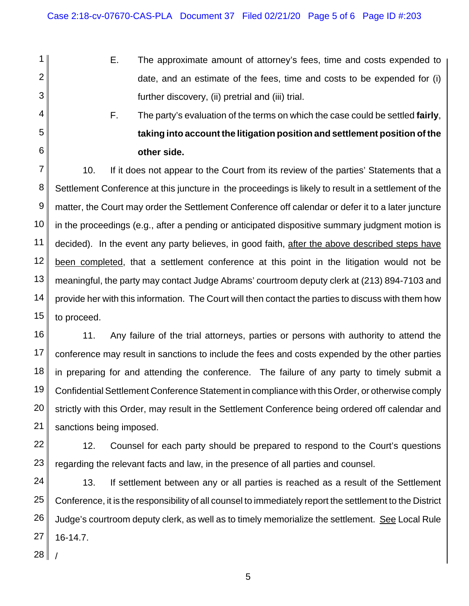- E. The approximate amount of attorney's fees, time and costs expended to date, and an estimate of the fees, time and costs to be expended for (i) further discovery, (ii) pretrial and (iii) trial.
	- F. The party's evaluation of the terms on which the case could be settled **fairly**, **taking into account the litigation position and settlement position of the other side.**

7 8 9 10 11 12 13 14 15 10. If it does not appear to the Court from its review of the parties' Statements that a Settlement Conference at this juncture in the proceedings is likely to result in a settlement of the matter, the Court may order the Settlement Conference off calendar or defer it to a later juncture in the proceedings (e.g., after a pending or anticipated dispositive summary judgment motion is decided). In the event any party believes, in good faith, after the above described steps have been completed, that a settlement conference at this point in the litigation would not be meaningful, the party may contact Judge Abrams' courtroom deputy clerk at (213) 894-7103 and provide her with this information. The Court will then contact the parties to discuss with them how to proceed.

16 17 18 19 20 21 11. Any failure of the trial attorneys, parties or persons with authority to attend the conference may result in sanctions to include the fees and costs expended by the other parties in preparing for and attending the conference. The failure of any party to timely submit a Confidential Settlement Conference Statement in compliance with this Order, or otherwise comply strictly with this Order, may result in the Settlement Conference being ordered off calendar and sanctions being imposed.

22 23 12. Counsel for each party should be prepared to respond to the Court's questions regarding the relevant facts and law, in the presence of all parties and counsel.

24 25 26 27 13. If settlement between any or all parties is reached as a result of the Settlement Conference, it is the responsibility of all counsel to immediately report the settlement to the District Judge's courtroom deputy clerk, as well as to timely memorialize the settlement. See Local Rule 16-14.7.

28 /

1

2

3

4

5

6

5